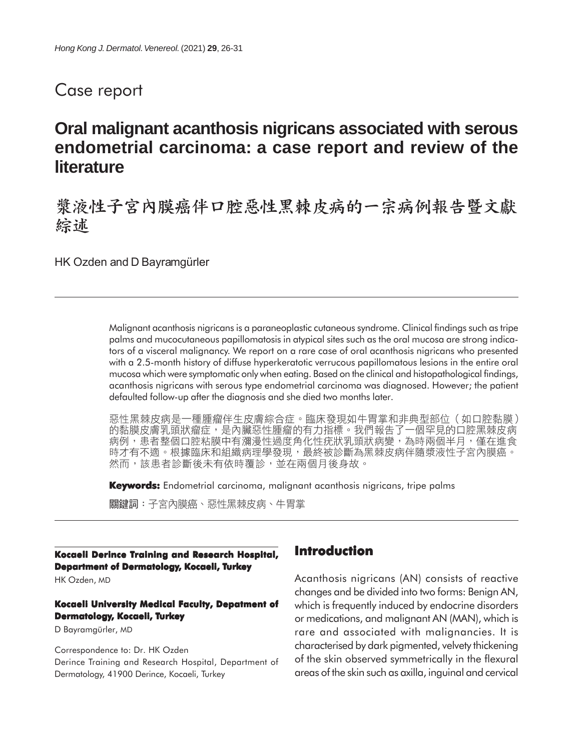# Case report

# **Oral malignant acanthosis nigricans associated with serous endometrial carcinoma: a case report and review of the literature**

漿液性子宮內膜癌伴口腔惡性黑棘皮病的一宗病例報告暨文獻 綜述

HK Ozden and D Bayramgürler

Malignant acanthosis nigricans is a paraneoplastic cutaneous syndrome. Clinical findings such as tripe palms and mucocutaneous papillomatosis in atypical sites such as the oral mucosa are strong indicators of a visceral malignancy. We report on a rare case of oral acanthosis nigricans who presented with a 2.5-month history of diffuse hyperkeratotic verrucous papillomatous lesions in the entire oral mucosa which were symptomatic only when eating. Based on the clinical and histopathological findings, acanthosis nigricans with serous type endometrial carcinoma was diagnosed. However; the patient defaulted follow-up after the diagnosis and she died two months later.

惡性黑棘皮病是一種腫瘤伴生皮膚綜合症。臨床發現如牛胃掌和非典型部位(如口腔黏膜) 的黏膜皮膚乳頭狀瘤症,是內臟惡性腫瘤的有力指標。我們報告了一個罕見的口腔黑棘皮病 病例,患者整個口腔粘膜中有瀰漫性過度角化性疣狀乳頭狀病變,為時兩個半月,僅在進食 時才有不適。根據臨床和組織病理學發現,最終被診斷為黑棘皮病伴隨漿液性子宮內膜癌。 然而,該患者診斷後未有依時覆診,並在兩個月後身故。

**Keywords:** Endometrial carcinoma, malignant acanthosis nigricans, tripe palms

關鍵詞:子宮內膜癌、惡性黑棘皮病、牛胃掌

### **Kocaeli Derince Training and Research Hospital, Department of Dermatology, Kocaeli, Turkey**

HK Ozden, MD

#### **Kocaeli University Medical Faculty, Depatment of Dermatology, Kocaeli, Turkey**

D Bayramgürler, MD

Correspondence to: Dr. HK Ozden Derince Training and Research Hospital, Department of Dermatology, 41900 Derince, Kocaeli, Turkey

## **Introduction**

Acanthosis nigricans (AN) consists of reactive changes and be divided into two forms: Benign AN, which is frequently induced by endocrine disorders or medications, and malignant AN (MAN), which is rare and associated with malignancies. It is characterised by dark pigmented, velvety thickening of the skin observed symmetrically in the flexural areas of the skin such as axilla, inguinal and cervical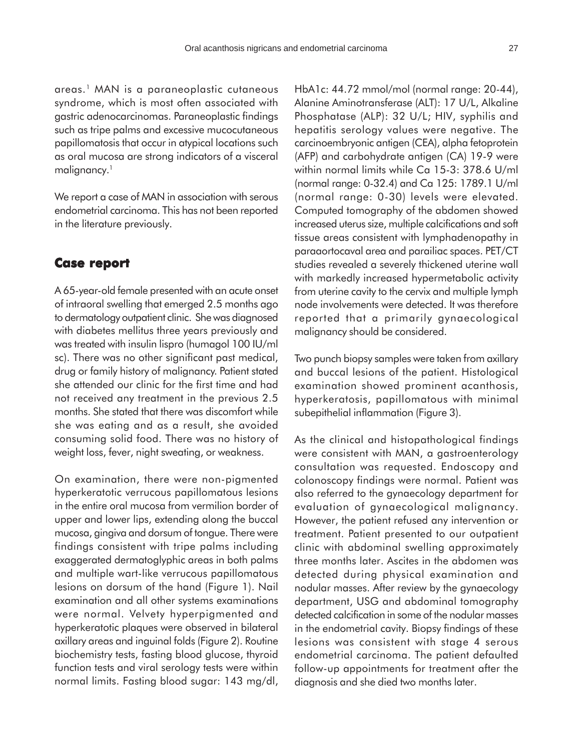areas.1 MAN is a paraneoplastic cutaneous syndrome, which is most often associated with gastric adenocarcinomas. Paraneoplastic findings such as tripe palms and excessive mucocutaneous papillomatosis that occur in atypical locations such as oral mucosa are strong indicators of a visceral malignancy.<sup>1</sup>

We report a case of MAN in association with serous endometrial carcinoma. This has not been reported in the literature previously.

#### **Case report Case**

A 65-year-old female presented with an acute onset of intraoral swelling that emerged 2.5 months ago to dermatology outpatient clinic. She was diagnosed with diabetes mellitus three years previously and was treated with insulin lispro (humagol 100 IU/ml sc). There was no other significant past medical, drug or family history of malignancy. Patient stated she attended our clinic for the first time and had not received any treatment in the previous 2.5 months. She stated that there was discomfort while she was eating and as a result, she avoided consuming solid food. There was no history of weight loss, fever, night sweating, or weakness.

On examination, there were non-pigmented hyperkeratotic verrucous papillomatous lesions in the entire oral mucosa from vermilion border of upper and lower lips, extending along the buccal mucosa, gingiva and dorsum of tongue. There were findings consistent with tripe palms including exaggerated dermatoglyphic areas in both palms and multiple wart-like verrucous papillomatous lesions on dorsum of the hand (Figure 1). Nail examination and all other systems examinations were normal. Velvety hyperpigmented and hyperkeratotic plaques were observed in bilateral axillary areas and inguinal folds (Figure 2). Routine biochemistry tests, fasting blood glucose, thyroid function tests and viral serology tests were within normal limits. Fasting blood sugar: 143 mg/dl, HbA1c: 44.72 mmol/mol (normal range: 20-44), Alanine Aminotransferase (ALT): 17 U/L, Alkaline Phosphatase (ALP): 32 U/L; HIV, syphilis and hepatitis serology values were negative. The carcinoembryonic antigen (CEA), alpha fetoprotein (AFP) and carbohydrate antigen (CA) 19-9 were within normal limits while Ca 15-3: 378.6 U/ml (normal range: 0-32.4) and Ca 125: 1789.1 U/ml (normal range: 0-30) levels were elevated. Computed tomography of the abdomen showed increased uterus size, multiple calcifications and soft tissue areas consistent with lymphadenopathy in paraaortocaval area and parailiac spaces. PET/CT studies revealed a severely thickened uterine wall with markedly increased hypermetabolic activity from uterine cavity to the cervix and multiple lymph node involvements were detected. It was therefore reported that a primarily gynaecological malignancy should be considered.

Two punch biopsy samples were taken from axillary and buccal lesions of the patient. Histological examination showed prominent acanthosis, hyperkeratosis, papillomatous with minimal subepithelial inflammation (Figure 3).

As the clinical and histopathological findings were consistent with MAN, a gastroenterology consultation was requested. Endoscopy and colonoscopy findings were normal. Patient was also referred to the gynaecology department for evaluation of gynaecological malignancy. However, the patient refused any intervention or treatment. Patient presented to our outpatient clinic with abdominal swelling approximately three months later. Ascites in the abdomen was detected during physical examination and nodular masses. After review by the gynaecology department, USG and abdominal tomography detected calcification in some of the nodular masses in the endometrial cavity. Biopsy findings of these lesions was consistent with stage 4 serous endometrial carcinoma. The patient defaulted follow-up appointments for treatment after the diagnosis and she died two months later.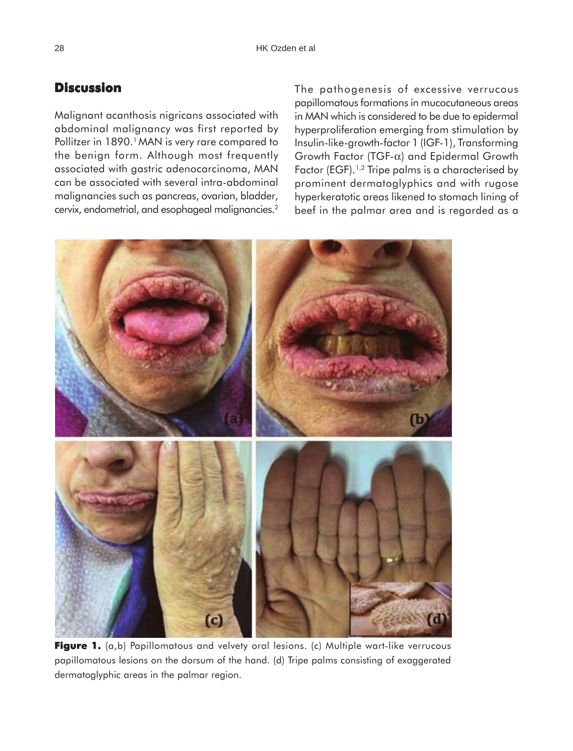# **Discussion**

Malignant acanthosis nigricans associated with abdominal malignancy was first reported by Pollitzer in 1890.<sup>1</sup> MAN is very rare compared to the benign form. Although most frequently associated with gastric adenocarcinoma, MAN can be associated with several intra-abdominal malignancies such as pancreas, ovarian, bladder, cervix, endometrial, and esophageal malignancies.2

The pathogenesis of excessive verrucous papillomatous formations in mucocutaneous areas in MAN which is considered to be due to epidermal hyperproliferation emerging from stimulation by Insulin-like-growth-factor 1 (IGF-1), Transforming Growth Factor (TGF-α) and Epidermal Growth Factor (EGF).<sup>1,2</sup> Tripe palms is a characterised by prominent dermatoglyphics and with rugose hyperkeratotic areas likened to stomach lining of beef in the palmar area and is regarded as a



Figure 1. (a,b) Papillomatous and velvety oral lesions. (c) Multiple wart-like verrucous papillomatous lesions on the dorsum of the hand. (d) Tripe palms consisting of exaggerated dermatoglyphic areas in the palmar region.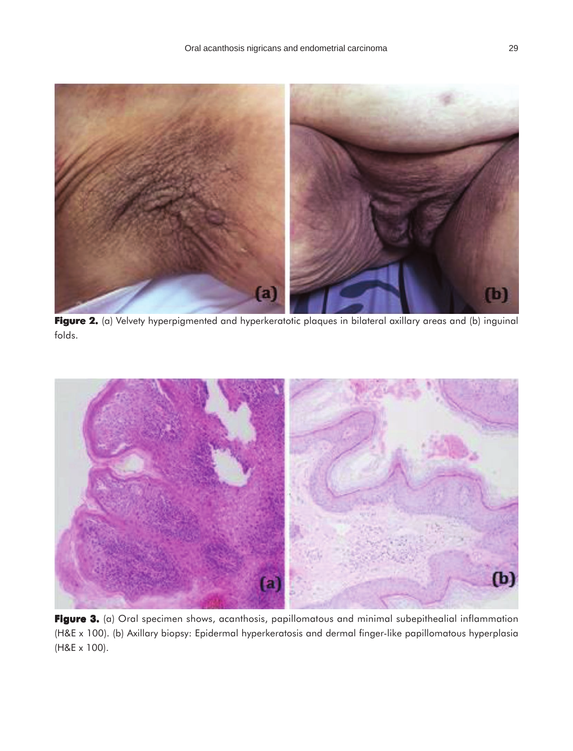

Figure 2. (a) Velvety hyperpigmented and hyperkeratotic plaques in bilateral axillary areas and (b) inguinal folds.



Figure 3. (a) Oral specimen shows, acanthosis, papillomatous and minimal subepithealial inflammation (H&E x 100). (b) Axillary biopsy: Epidermal hyperkeratosis and dermal finger-like papillomatous hyperplasia (H&E x 100).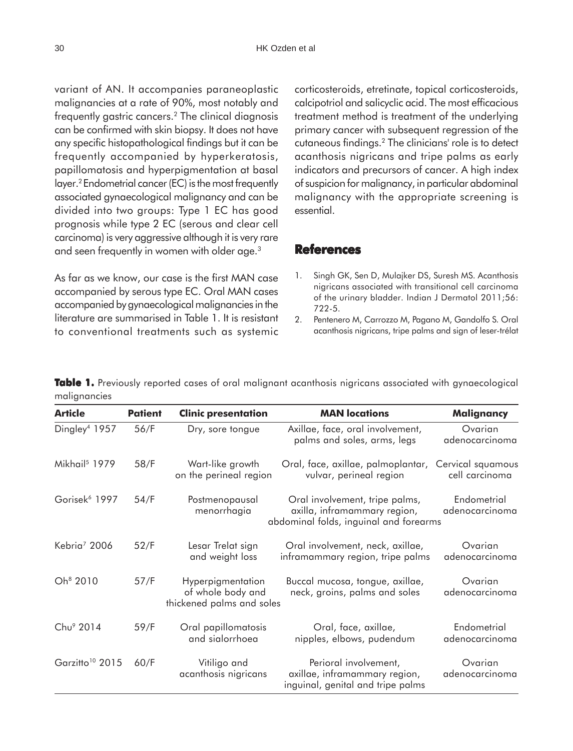variant of AN. It accompanies paraneoplastic malignancies at a rate of 90%, most notably and frequently gastric cancers.2 The clinical diagnosis can be confirmed with skin biopsy. It does not have any specific histopathological findings but it can be frequently accompanied by hyperkeratosis, papillomatosis and hyperpigmentation at basal layer.2 Endometrial cancer (EC) is the most frequently associated gynaecological malignancy and can be divided into two groups: Type 1 EC has good prognosis while type 2 EC (serous and clear cell carcinoma) is very aggressive although it is very rare and seen frequently in women with older age.3

As far as we know, our case is the first MAN case accompanied by serous type EC. Oral MAN cases accompanied by gynaecological malignancies in the literature are summarised in Table 1. It is resistant to conventional treatments such as systemic corticosteroids, etretinate, topical corticosteroids, calcipotriol and salicyclic acid. The most efficacious treatment method is treatment of the underlying primary cancer with subsequent regression of the cutaneous findings.2 The clinicians' role is to detect acanthosis nigricans and tripe palms as early indicators and precursors of cancer. A high index of suspicion for malignancy, in particular abdominal malignancy with the appropriate screening is essential.

### **References**

- 1. Singh GK, Sen D, Mulajker DS, Suresh MS. Acanthosis nigricans associated with transitional cell carcinoma of the urinary bladder. Indian J Dermatol 2011;56: 722-5.
- 2. Pentenero M, Carrozzo M, Pagano M, Gandolfo S. Oral acanthosis nigricans, tripe palms and sign of leser-trélat

**Table 1.** Previously reported cases of oral malignant acanthosis nigricans associated with gynaecological malignancies

| <b>Article</b>              | <b>Patient</b> | <b>Clinic presentation</b>                                          | <b>MAN locations</b>                                                                                     | Malignancy                          |
|-----------------------------|----------------|---------------------------------------------------------------------|----------------------------------------------------------------------------------------------------------|-------------------------------------|
| Dingley <sup>4</sup> 1957   | 56/F           | Dry, sore tongue                                                    | Axillae, face, oral involvement,<br>palms and soles, arms, legs                                          | Ovarian<br>adenocarcinoma           |
| Mikhail <sup>5</sup> 1979   | 58/F           | Wart-like growth<br>on the perineal region                          | Oral, face, axillae, palmoplantar,<br>vulvar, perineal region                                            | Cervical squamous<br>cell carcinoma |
| Gorisek <sup>6</sup> 1997   | 54/F           | Postmenopausal<br>menorrhagia                                       | Oral involvement, tripe palms,<br>axilla, inframammary region,<br>abdominal folds, inguinal and forearms | Endometrial<br>adenocarcinoma       |
| Kebria <sup>7</sup> 2006    | 52/F           | Lesar Trelat sign<br>and weight loss                                | Oral involvement, neck, axillae,<br>inframammary region, tripe palms                                     | Ovarian<br>adenocarcinoma           |
| Oh <sup>8</sup> 2010        | 57/F           | Hyperpigmentation<br>of whole body and<br>thickened palms and soles | Buccal mucosa, tongue, axillae,<br>neck, groins, palms and soles                                         | Ovarian<br>adenocarcinoma           |
| Chu <sup>9</sup> 2014       | 59/F           | Oral papillomatosis<br>and sialorrhoea                              | Oral, face, axillae,<br>nipples, elbows, pudendum                                                        | Endometrial<br>adenocarcinoma       |
| Garzitto <sup>10</sup> 2015 | 60/F           | Vitiligo and<br>acanthosis nigricans                                | Perioral involvement,<br>axillae, inframammary region,<br>inguinal, genital and tripe palms              | Ovarian<br>adenocarcinoma           |